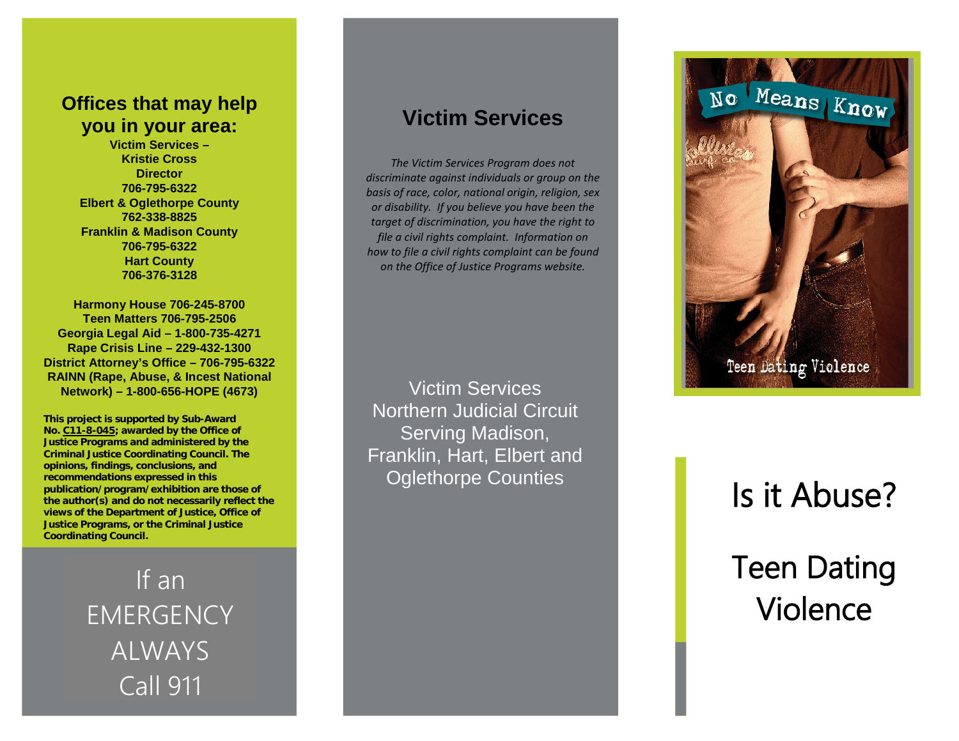## **Offices that may help you in your area:**

**Victim Services – Kristie Cross Director 706 -795 -6322 Elbert & Oglethorpe County 762 -338 -8825 Franklin & Madison County 706 -795 -6322 Hart County 706 -376 -3128** 

**Harmony House 706 -245 -8700 Teen Matters 706 -795 -2506 Georgia Legal Aid – 1 -800 -735 -4271 Rape Crisis Line – 229 -432 -1300 District Attorney's Office – 706 -795 -6322 RAINN (Rape, Abuse, & Incest National Network) – 1 -800 -656 -HOPE (4673)**

**This project is supported by Sub -Award No. C11 - 8 -045; awarded by the Office of Justice Programs and administered by the Criminal Justice Coordinating Council. The opinions, findings, conclusions, and recommendations expressed in this publication/program/exhibition are those of the author(s) and do not necessarily reflect the views of the Department of Justice, Office of Justice Programs, or the Criminal Justice Coordinating Council.**

> **EMERGENCY** ALWAYS Call 911

# **Victim Services**

*The Victim Services Program does not discriminate against individuals or group on the basis of race, color, national origin, religion, sex or disability. If you believe you have been the target of discrimination, you have the right to file a civil rights complaint. Information on how to file a civil rights complaint can be found on the Office of Justice Programs website.*

Victim Services Northern Judicial Circuit Serving Madison, Franklin, Hart, Elbert and Oglethorpe Counties



# Is it Abuse? Teen Dating Violence If an **International Contract Contract Contract Contract Contract Contract Contract Contract Contract Contract<br>RGENCY CONSERVATION CONTRACT CONTRACT CONTRACT CONTRACT CONTRACT CONTRACT CONTRACT CONTRACT CONTRACT CONTRACT C**